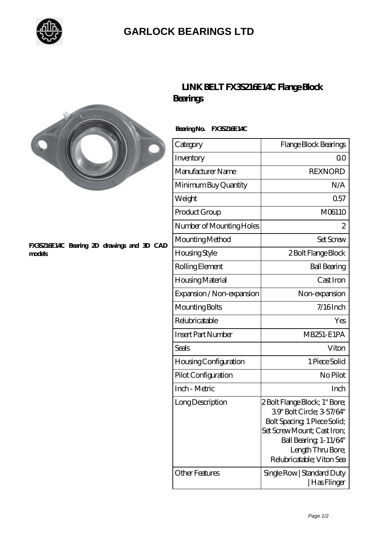

## **[GARLOCK BEARINGS LTD](https://m.letterstopriests.com)**



## **[FX3S216E14C Bearing 2D drawings and 3D CAD](https://m.letterstopriests.com/pic-188700.html) [models](https://m.letterstopriests.com/pic-188700.html)**

## **[LINK BELT FX3S216E14C Flange Block](https://m.letterstopriests.com/by-188700-link-belt-fx3s216e14c-flange-block-bearings.html) [Bearings](https://m.letterstopriests.com/by-188700-link-belt-fx3s216e14c-flange-block-bearings.html)**

 **Bearing No. FX3S216E14C**

| Category                     | Flange Block Bearings                                                                                                                                                                                |
|------------------------------|------------------------------------------------------------------------------------------------------------------------------------------------------------------------------------------------------|
| Inventory                    | 0 <sup>0</sup>                                                                                                                                                                                       |
| Manufacturer Name            | <b>REXNORD</b>                                                                                                                                                                                       |
| Minimum Buy Quantity         | N/A                                                                                                                                                                                                  |
| Weight                       | 0.57                                                                                                                                                                                                 |
| Product Group                | M06110                                                                                                                                                                                               |
| Number of Mounting Holes     | 2                                                                                                                                                                                                    |
| Mounting Method              | Set Screw                                                                                                                                                                                            |
| <b>Housing Style</b>         | 2 Bolt Flange Block                                                                                                                                                                                  |
| Rolling Element              | <b>Ball Bearing</b>                                                                                                                                                                                  |
| Housing Material             | Cast Iron                                                                                                                                                                                            |
| Expansion / Non-expansion    | Non-expansion                                                                                                                                                                                        |
| Mounting Bolts               | 7/16Inch                                                                                                                                                                                             |
| Relubricatable               | Yes                                                                                                                                                                                                  |
| <b>Insert Part Number</b>    | <b>MB251-E1PA</b>                                                                                                                                                                                    |
| Seals                        | Viton                                                                                                                                                                                                |
| <b>Housing Configuration</b> | 1 Piece Solid                                                                                                                                                                                        |
| Pilot Configuration          | No Pilot                                                                                                                                                                                             |
| Inch - Metric                | Inch                                                                                                                                                                                                 |
| Long Description             | 2 Bolt Flange Block; 1" Bore;<br>39' Bolt Circle; 3-57/64"<br>Bolt Spacing 1 Piece Solid;<br>Set Screw Mount; Cast Iron;<br>Ball Bearing, 1-11/64"<br>Length Thru Bore;<br>Relubricatable; Viton Sea |
| <b>Other Features</b>        | Single Row   Standard Duty<br>  Has Flinger                                                                                                                                                          |